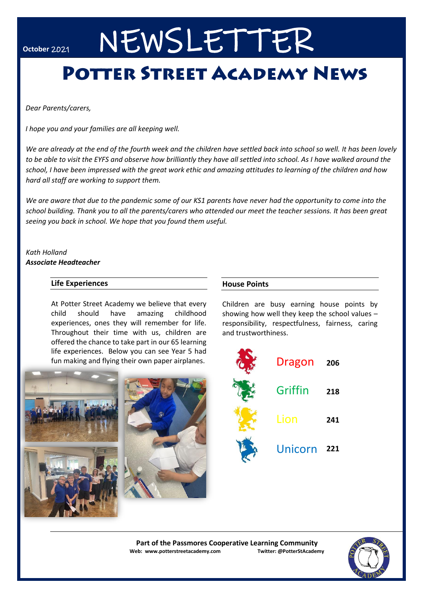# October 2021 NEWSLETTER

# **POTTER STREET ACADEMY NEWS**

 *Dear Parents/carers,*

 *I hope you and your families are all keeping well.*

*We are already at the end of the fourth week and the children have settled back into school so well. It has been lovely to be able to visit the EYFS and observe how brilliantly they have all settled into school. As I have walked around the school, I have been impressed with the great work ethic and amazing attitudes to learning of the children and how hard all staff are working to support them.*

*We are aware that due to the pandemic some of our KS1 parents have never had the opportunity to come into the school building. Thank you to all the parents/carers who attended our meet the teacher sessions. It has been great seeing you back in school. We hope that you found them useful.*

*Kath Holland Associate Headteacher*

### **Life Experiences**

At Potter Street Academy we believe that every child should have amazing childhood experiences, ones they will remember for life. Throughout their time with us, children are offered the chance to take part in our 65 learning life experiences. Below you can see Year 5 had fun making and flying their own paper airplanes.



**House Points**

Children are busy earning house points by showing how well they keep the school values – responsibility, respectfulness, fairness, caring and trustworthiness.



**Part of the Passmores Cooperative Learning Community Web: www.potterstreetacademy.com Twitter: @PotterStAcademy**

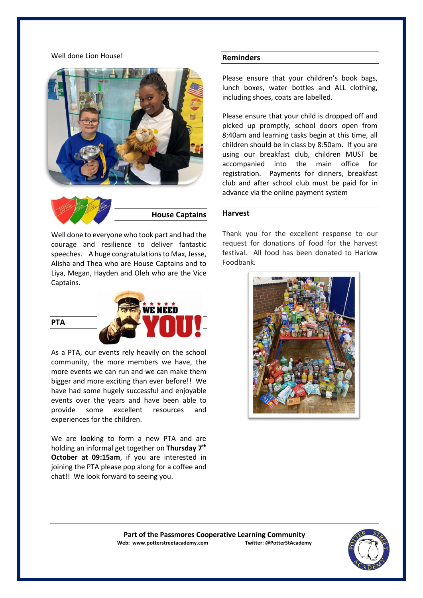#### Well done Lion House!





Well done to everyone who took part and had the courage and resilience to deliver fantastic speeches. A huge congratulations to Max, Jesse, Alisha and Thea who are House Captains and to Liya, Megan, Hayden and Oleh who are the Vice Captains.

$$
\overbrace{\text{PTA}}^{\text{PTE}} \overbrace{\text{VCDU}}
$$

As a PTA, our events rely heavily on the school community, the more members we have, the more events we can run and we can make them bigger and more exciting than ever before!! We have had some hugely successful and enjoyable events over the years and have been able to provide some excellent resources and experiences for the children.

We are looking to form a new PTA and are holding an informal get together on **Thursday 7th October at 09:15am**, if you are interested in joining the PTA please pop along for a coffee and chat!! We look forward to seeing you.

#### **Reminders**

Please ensure that your children's book bags, lunch boxes, water bottles and ALL clothing, including shoes, coats are labelled.

Please ensure that your child is dropped off and picked up promptly, school doors open from 8:40am and learning tasks begin at this time, all children should be in class by 8:50am. If you are using our breakfast club, children MUST be accompanied into the main office for registration. Payments for dinners, breakfast club and after school club must be paid for in advance via the online payment system

#### **Harvest**

Thank you for the excellent response to our request for donations of food for the harvest festival. All food has been donated to Harlow Foodbank.



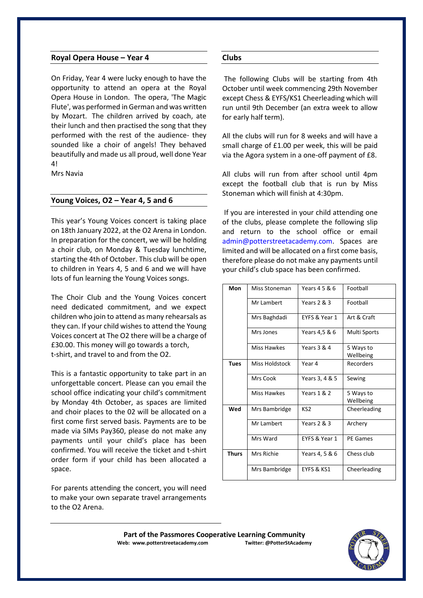#### **Royal Opera House – Year 4**

On Friday, Year 4 were lucky enough to have the opportunity to attend an opera at the Royal Opera House in London. The opera, 'The Magic Flute', was performed in German and was written by Mozart. The children arrived by coach, ate their lunch and then practised the song that they performed with the rest of the audience- they sounded like a choir of angels! They behaved beautifully and made us all proud, well done Year 4!

Mrs Navia

#### **Young Voices, O2 – Year 4, 5 and 6**

This year's Young Voices concert is taking place on 18th January 2022, at the O2 Arena in London. In preparation for the concert, we will be holding a choir club, on Monday & Tuesday lunchtime, starting the 4th of October. This club will be open to children in Years 4, 5 and 6 and we will have lots of fun learning the Young Voices songs.

The Choir Club and the Young Voices concert need dedicated commitment, and we expect children who join to attend as many rehearsals as they can. If your child wishes to attend the Young Voices concert at The O2 there will be a charge of £30.00. This money will go towards a torch, t-shirt, and travel to and from the O2.

This is a fantastic opportunity to take part in an unforgettable concert. Please can you email the school office indicating your child's commitment by Monday 4th October, as spaces are limited and choir places to the 02 will be allocated on a first come first served basis. Payments are to be made via SIMs Pay360, please do not make any payments until your child's place has been confirmed. You will receive the ticket and t-shirt order form if your child has been allocated a space.

For parents attending the concert, you will need to make your own separate travel arrangements to the O2 Arena.

#### **Clubs**

The following Clubs will be starting from 4th October until week commencing 29th November except Chess & EYFS/KS1 Cheerleading which will run until 9th December (an extra week to allow for early half term).

All the clubs will run for 8 weeks and will have a small charge of £1.00 per week, this will be paid via the Agora system in a one-off payment of £8.

All clubs will run from after school until 4pm except the football club that is run by Miss Stoneman which will finish at 4:30pm.

If you are interested in your child attending one of the clubs, please complete the following slip and return to the school office or email admin@potterstreetacademy.com. Spaces are limited and will be allocated on a first come basis, therefore please do not make any payments until your child's club space has been confirmed.

| Mon         | Miss Stoneman  | Years 4 5 & 6   | Football               |
|-------------|----------------|-----------------|------------------------|
|             | Mr Lambert     | Years 2 & 3     | Football               |
|             | Mrs Baghdadi   | EYFS & Year 1   | Art & Craft            |
|             | Mrs Jones      | Years 4,5 & 6   | Multi Sports           |
|             | Miss Hawkes    | Years 3 & 4     | 5 Ways to<br>Wellbeing |
| <b>Tues</b> | Miss Holdstock | Year 4          | Recorders              |
|             | Mrs Cook       | Years 3, 4 & 5  | Sewing                 |
|             | Miss Hawkes    | Years 1 & 2     | 5 Ways to<br>Wellbeing |
| Wed         | Mrs Bambridge  | KS <sub>2</sub> | Cheerleading           |
|             | Mr Lambert     | Years 2 & 3     | Archery                |
|             | Mrs Ward       | EYFS & Year 1   | PE Games               |
| Thurs       | Mrs Richie     | Years 4, 5 & 6  | Chess club             |
|             | Mrs Bambridge  | EYFS & KS1      | Cheerleading           |